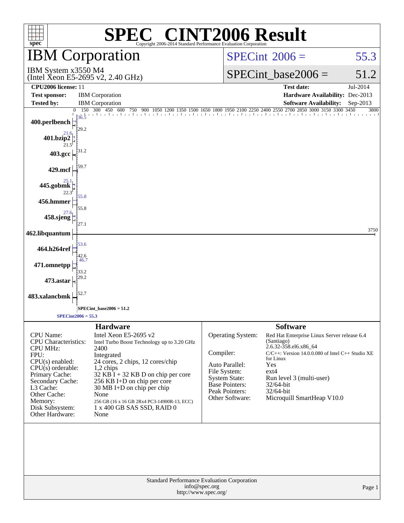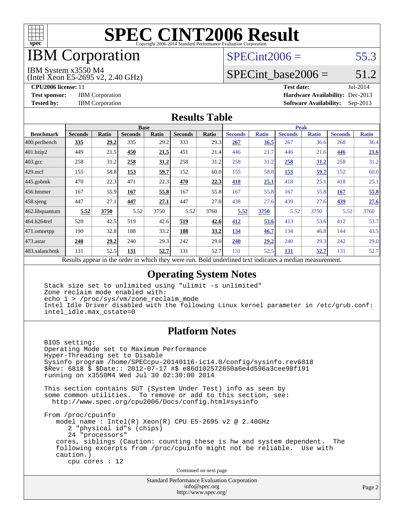

### IBM Corporation

### $SPECint2006 = 55.3$  $SPECint2006 = 55.3$

#### IBM System x3550 M4

(Intel Xeon E5-2695 v2, 2.40 GHz)

SPECint base2006 =  $51.2$ 

**[CPU2006 license:](http://www.spec.org/auto/cpu2006/Docs/result-fields.html#CPU2006license)** 11 **[Test date:](http://www.spec.org/auto/cpu2006/Docs/result-fields.html#Testdate)** Jul-2014 **[Test sponsor:](http://www.spec.org/auto/cpu2006/Docs/result-fields.html#Testsponsor)** IBM Corporation **[Hardware Availability:](http://www.spec.org/auto/cpu2006/Docs/result-fields.html#HardwareAvailability)** Dec-2013 **[Tested by:](http://www.spec.org/auto/cpu2006/Docs/result-fields.html#Testedby)** IBM Corporation **[Software Availability:](http://www.spec.org/auto/cpu2006/Docs/result-fields.html#SoftwareAvailability)** Sep-2013

#### **[Results Table](http://www.spec.org/auto/cpu2006/Docs/result-fields.html#ResultsTable)**

|                  | <b>Base</b>                                                   |       |                |                                                         |                |       | <b>Peak</b>    |              |                |              |                |              |
|------------------|---------------------------------------------------------------|-------|----------------|---------------------------------------------------------|----------------|-------|----------------|--------------|----------------|--------------|----------------|--------------|
| <b>Benchmark</b> | <b>Seconds</b>                                                | Ratio | <b>Seconds</b> | Ratio                                                   | <b>Seconds</b> | Ratio | <b>Seconds</b> | <b>Ratio</b> | <b>Seconds</b> | <b>Ratio</b> | <b>Seconds</b> | <b>Ratio</b> |
| 400.perlbench    | <u>335</u>                                                    | 29.2  | 335            | 29.2                                                    | 333            | 29.3  | 267            | 36.5         | 267            | 36.6         | 268            | 36.4         |
| 401.bzip2        | 449                                                           | 21.5  | 450            | 21.5                                                    | 451            | 21.4  | 446            | 21.7         | 446            | 21.6         | 446            | <u>21.6</u>  |
| $403.\text{gcc}$ | 258                                                           | 31.2  | 258            | 31.2                                                    | 258            | 31.2  | 258            | 31.2         | 258            | 31.2         | 258            | 31.2         |
| $429$ .mcf       | 155                                                           | 58.8  | 153            | 59.7                                                    | 152            | 60.0  | 155            | 58.8         | 153            | 59.7         | 152            | 60.0         |
| $445$ .gobmk     | 470                                                           | 22.3  | 471            | 22.3                                                    | 470            | 22.3  | 418            | 25.1         | 418            | 25.1         | 418            | 25.1         |
| 456.hmmer        | 167                                                           | 55.9  | 167            | 55.8                                                    | 167            | 55.8  | 167            | 55.8         | 167            | 55.8         | <b>167</b>     | 55.8         |
| $458$ .sjeng     | 447                                                           | 27.1  | 447            | 27.1                                                    | 447            | 27.0  | 438            | 27.6         | 439            | 27.6         | 439            | 27.6         |
| 462.libquantum   | 5.52                                                          | 3750  | 5.52           | 3750                                                    | 5.52           | 3760  | 5.52           | 3750         | 5.52           | 3750         | 5.52           | 3760         |
| 464.h264ref      | 520                                                           | 42.5  | 519            | 42.6                                                    | 519            | 42.6  | 412            | 53.6         | 413            | 53.6         | 412            | 53.7         |
| 471.omnetpp      | 190                                                           | 32.8  | 188            | 33.2                                                    | 188            | 33.2  | 134            | 46.7         | 134            | 46.8         | 144            | 43.5         |
| $473$ . astar    | 240                                                           | 29.2  | 240            | 29.3                                                    | 242            | 29.0  | 240            | 29.2         | 240            | 29.3         | 242            | 29.0         |
| 483.xalancbmk    | 131                                                           | 52.5  | 131            | 52.7                                                    | 131            | 52.7  | 131            | 52.5         | 131            | 52.7         | 131            | 52.7         |
|                  | Described and can be the condentry ordered theory occurs more |       |                | Dald an dealined test in diestry a median meer announce |                |       |                |              |                |              |                |              |

Results appear in the [order in which they were run.](http://www.spec.org/auto/cpu2006/Docs/result-fields.html#RunOrder) Bold underlined text [indicates a median measurement.](http://www.spec.org/auto/cpu2006/Docs/result-fields.html#Median)

#### **[Operating System Notes](http://www.spec.org/auto/cpu2006/Docs/result-fields.html#OperatingSystemNotes)**

 Stack size set to unlimited using "ulimit -s unlimited" Zone reclaim mode enabled with: echo 1 > /proc/sys/vm/zone\_reclaim\_mode Intel Idle Driver disabled with the following Linux kernel parameter in /etc/grub.conf: intel\_idle.max\_cstate=0

#### **[Platform Notes](http://www.spec.org/auto/cpu2006/Docs/result-fields.html#PlatformNotes)**

 BIOS setting: Operating Mode set to Maximum Performance Hyper-Threading set to Disable Sysinfo program /home/SPECcpu-20140116-ic14.0/config/sysinfo.rev6818 \$Rev: 6818 \$ \$Date:: 2012-07-17 #\$ e86d102572650a6e4d596a3cee98f191 running on x3550M4 Wed Jul 30 02:30:00 2014

 This section contains SUT (System Under Test) info as seen by some common utilities. To remove or add to this section, see: <http://www.spec.org/cpu2006/Docs/config.html#sysinfo>

 From /proc/cpuinfo model name : Intel(R) Xeon(R) CPU E5-2695 v2 @ 2.40GHz 2 "physical id"s (chips) 24 "processors" cores, siblings (Caution: counting these is hw and system dependent. The following excerpts from /proc/cpuinfo might not be reliable. Use with caution.) cpu cores : 12

Continued on next page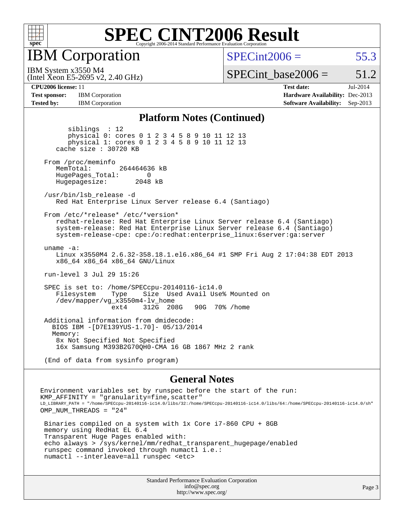

**IBM** Corporation

 $SPECint2006 = 55.3$  $SPECint2006 = 55.3$ 

(Intel Xeon E5-2695 v2, 2.40 GHz) IBM System x3550 M4

SPECint base2006 =  $51.2$ 

**[CPU2006 license:](http://www.spec.org/auto/cpu2006/Docs/result-fields.html#CPU2006license)** 11 **[Test date:](http://www.spec.org/auto/cpu2006/Docs/result-fields.html#Testdate)** Jul-2014 **[Test sponsor:](http://www.spec.org/auto/cpu2006/Docs/result-fields.html#Testsponsor)** IBM Corporation **[Hardware Availability:](http://www.spec.org/auto/cpu2006/Docs/result-fields.html#HardwareAvailability)** Dec-2013 **[Tested by:](http://www.spec.org/auto/cpu2006/Docs/result-fields.html#Testedby)** IBM Corporation **[Software Availability:](http://www.spec.org/auto/cpu2006/Docs/result-fields.html#SoftwareAvailability)** Sep-2013

#### **[Platform Notes \(Continued\)](http://www.spec.org/auto/cpu2006/Docs/result-fields.html#PlatformNotes)**

 siblings : 12 physical 0: cores 0 1 2 3 4 5 8 9 10 11 12 13 physical 1: cores 0 1 2 3 4 5 8 9 10 11 12 13 cache size : 30720 KB From /proc/meminfo MemTotal: 264464636 kB HugePages\_Total: 0<br>Hugepagesize: 2048 kB Hugepagesize: /usr/bin/lsb\_release -d Red Hat Enterprise Linux Server release 6.4 (Santiago) From /etc/\*release\* /etc/\*version\* redhat-release: Red Hat Enterprise Linux Server release 6.4 (Santiago) system-release: Red Hat Enterprise Linux Server release 6.4 (Santiago) system-release-cpe: cpe:/o:redhat:enterprise\_linux:6server:ga:server uname -a: Linux x3550M4 2.6.32-358.18.1.el6.x86\_64 #1 SMP Fri Aug 2 17:04:38 EDT 2013 x86\_64 x86\_64 x86\_64 GNU/Linux run-level 3 Jul 29 15:26 SPEC is set to: /home/SPECcpu-20140116-ic14.0 Size Used Avail Use% Mounted on /dev/mapper/vg\_x3550m4-lv\_home 312G 208G 90G 70% / home Additional information from dmidecode: BIOS IBM -[D7E139YUS-1.70]- 05/13/2014 Memory: 8x Not Specified Not Specified 16x Samsung M393B2G70QH0-CMA 16 GB 1867 MHz 2 rank

(End of data from sysinfo program)

#### **[General Notes](http://www.spec.org/auto/cpu2006/Docs/result-fields.html#GeneralNotes)**

Environment variables set by runspec before the start of the run:  $KMP$  AFFINITY = "granularity=fine, scatter" LD\_LIBRARY\_PATH = "/home/SPECcpu-20140116-ic14.0/libs/32:/home/SPECcpu-20140116-ic14.0/libs/64:/home/SPECcpu-20140116-ic14.0/sh" OMP\_NUM\_THREADS = "24" Binaries compiled on a system with 1x Core i7-860 CPU + 8GB memory using RedHat EL 6.4 Transparent Huge Pages enabled with: echo always > /sys/kernel/mm/redhat\_transparent\_hugepage/enabled runspec command invoked through numactl i.e.: numactl --interleave=all runspec <etc>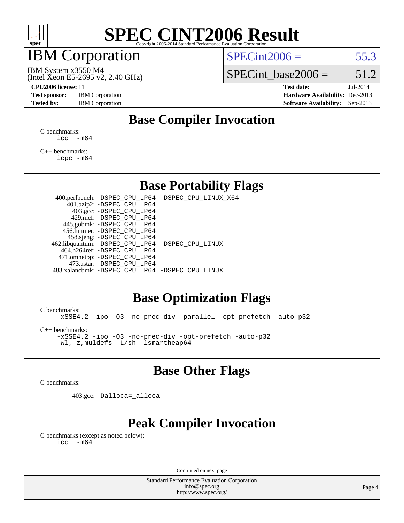

### IBM Corporation

 $SPECint2006 = 55.3$  $SPECint2006 = 55.3$ 

(Intel Xeon E5-2695 v2, 2.40 GHz) IBM System x3550 M4

SPECint base2006 =  $51.2$ 

**[Test sponsor:](http://www.spec.org/auto/cpu2006/Docs/result-fields.html#Testsponsor)** IBM Corporation **[Hardware Availability:](http://www.spec.org/auto/cpu2006/Docs/result-fields.html#HardwareAvailability)** Dec-2013

**[CPU2006 license:](http://www.spec.org/auto/cpu2006/Docs/result-fields.html#CPU2006license)** 11 **[Test date:](http://www.spec.org/auto/cpu2006/Docs/result-fields.html#Testdate)** Jul-2014 **[Tested by:](http://www.spec.org/auto/cpu2006/Docs/result-fields.html#Testedby)** IBM Corporation **[Software Availability:](http://www.spec.org/auto/cpu2006/Docs/result-fields.html#SoftwareAvailability)** Sep-2013

### **[Base Compiler Invocation](http://www.spec.org/auto/cpu2006/Docs/result-fields.html#BaseCompilerInvocation)**

[C benchmarks](http://www.spec.org/auto/cpu2006/Docs/result-fields.html#Cbenchmarks):  $\text{icc}$   $-\text{m64}$ 

[C++ benchmarks:](http://www.spec.org/auto/cpu2006/Docs/result-fields.html#CXXbenchmarks) [icpc -m64](http://www.spec.org/cpu2006/results/res2014q3/cpu2006-20140731-30718.flags.html#user_CXXbase_intel_icpc_64bit_fc66a5337ce925472a5c54ad6a0de310)

#### **[Base Portability Flags](http://www.spec.org/auto/cpu2006/Docs/result-fields.html#BasePortabilityFlags)**

 400.perlbench: [-DSPEC\\_CPU\\_LP64](http://www.spec.org/cpu2006/results/res2014q3/cpu2006-20140731-30718.flags.html#b400.perlbench_basePORTABILITY_DSPEC_CPU_LP64) [-DSPEC\\_CPU\\_LINUX\\_X64](http://www.spec.org/cpu2006/results/res2014q3/cpu2006-20140731-30718.flags.html#b400.perlbench_baseCPORTABILITY_DSPEC_CPU_LINUX_X64) 401.bzip2: [-DSPEC\\_CPU\\_LP64](http://www.spec.org/cpu2006/results/res2014q3/cpu2006-20140731-30718.flags.html#suite_basePORTABILITY401_bzip2_DSPEC_CPU_LP64) 403.gcc: [-DSPEC\\_CPU\\_LP64](http://www.spec.org/cpu2006/results/res2014q3/cpu2006-20140731-30718.flags.html#suite_basePORTABILITY403_gcc_DSPEC_CPU_LP64) 429.mcf: [-DSPEC\\_CPU\\_LP64](http://www.spec.org/cpu2006/results/res2014q3/cpu2006-20140731-30718.flags.html#suite_basePORTABILITY429_mcf_DSPEC_CPU_LP64) 445.gobmk: [-DSPEC\\_CPU\\_LP64](http://www.spec.org/cpu2006/results/res2014q3/cpu2006-20140731-30718.flags.html#suite_basePORTABILITY445_gobmk_DSPEC_CPU_LP64) 456.hmmer: [-DSPEC\\_CPU\\_LP64](http://www.spec.org/cpu2006/results/res2014q3/cpu2006-20140731-30718.flags.html#suite_basePORTABILITY456_hmmer_DSPEC_CPU_LP64) 458.sjeng: [-DSPEC\\_CPU\\_LP64](http://www.spec.org/cpu2006/results/res2014q3/cpu2006-20140731-30718.flags.html#suite_basePORTABILITY458_sjeng_DSPEC_CPU_LP64) 462.libquantum: [-DSPEC\\_CPU\\_LP64](http://www.spec.org/cpu2006/results/res2014q3/cpu2006-20140731-30718.flags.html#suite_basePORTABILITY462_libquantum_DSPEC_CPU_LP64) [-DSPEC\\_CPU\\_LINUX](http://www.spec.org/cpu2006/results/res2014q3/cpu2006-20140731-30718.flags.html#b462.libquantum_baseCPORTABILITY_DSPEC_CPU_LINUX) 464.h264ref: [-DSPEC\\_CPU\\_LP64](http://www.spec.org/cpu2006/results/res2014q3/cpu2006-20140731-30718.flags.html#suite_basePORTABILITY464_h264ref_DSPEC_CPU_LP64) 471.omnetpp: [-DSPEC\\_CPU\\_LP64](http://www.spec.org/cpu2006/results/res2014q3/cpu2006-20140731-30718.flags.html#suite_basePORTABILITY471_omnetpp_DSPEC_CPU_LP64) 473.astar: [-DSPEC\\_CPU\\_LP64](http://www.spec.org/cpu2006/results/res2014q3/cpu2006-20140731-30718.flags.html#suite_basePORTABILITY473_astar_DSPEC_CPU_LP64) 483.xalancbmk: [-DSPEC\\_CPU\\_LP64](http://www.spec.org/cpu2006/results/res2014q3/cpu2006-20140731-30718.flags.html#suite_basePORTABILITY483_xalancbmk_DSPEC_CPU_LP64) [-DSPEC\\_CPU\\_LINUX](http://www.spec.org/cpu2006/results/res2014q3/cpu2006-20140731-30718.flags.html#b483.xalancbmk_baseCXXPORTABILITY_DSPEC_CPU_LINUX)

#### **[Base Optimization Flags](http://www.spec.org/auto/cpu2006/Docs/result-fields.html#BaseOptimizationFlags)**

[C benchmarks](http://www.spec.org/auto/cpu2006/Docs/result-fields.html#Cbenchmarks):

[-xSSE4.2](http://www.spec.org/cpu2006/results/res2014q3/cpu2006-20140731-30718.flags.html#user_CCbase_f-xSSE42_f91528193cf0b216347adb8b939d4107) [-ipo](http://www.spec.org/cpu2006/results/res2014q3/cpu2006-20140731-30718.flags.html#user_CCbase_f-ipo) [-O3](http://www.spec.org/cpu2006/results/res2014q3/cpu2006-20140731-30718.flags.html#user_CCbase_f-O3) [-no-prec-div](http://www.spec.org/cpu2006/results/res2014q3/cpu2006-20140731-30718.flags.html#user_CCbase_f-no-prec-div) [-parallel](http://www.spec.org/cpu2006/results/res2014q3/cpu2006-20140731-30718.flags.html#user_CCbase_f-parallel) [-opt-prefetch](http://www.spec.org/cpu2006/results/res2014q3/cpu2006-20140731-30718.flags.html#user_CCbase_f-opt-prefetch) [-auto-p32](http://www.spec.org/cpu2006/results/res2014q3/cpu2006-20140731-30718.flags.html#user_CCbase_f-auto-p32)

[C++ benchmarks:](http://www.spec.org/auto/cpu2006/Docs/result-fields.html#CXXbenchmarks)

[-xSSE4.2](http://www.spec.org/cpu2006/results/res2014q3/cpu2006-20140731-30718.flags.html#user_CXXbase_f-xSSE42_f91528193cf0b216347adb8b939d4107) [-ipo](http://www.spec.org/cpu2006/results/res2014q3/cpu2006-20140731-30718.flags.html#user_CXXbase_f-ipo) [-O3](http://www.spec.org/cpu2006/results/res2014q3/cpu2006-20140731-30718.flags.html#user_CXXbase_f-O3) [-no-prec-div](http://www.spec.org/cpu2006/results/res2014q3/cpu2006-20140731-30718.flags.html#user_CXXbase_f-no-prec-div) [-opt-prefetch](http://www.spec.org/cpu2006/results/res2014q3/cpu2006-20140731-30718.flags.html#user_CXXbase_f-opt-prefetch) [-auto-p32](http://www.spec.org/cpu2006/results/res2014q3/cpu2006-20140731-30718.flags.html#user_CXXbase_f-auto-p32) [-Wl,-z,muldefs](http://www.spec.org/cpu2006/results/res2014q3/cpu2006-20140731-30718.flags.html#user_CXXbase_link_force_multiple1_74079c344b956b9658436fd1b6dd3a8a) [-L/sh -lsmartheap64](http://www.spec.org/cpu2006/results/res2014q3/cpu2006-20140731-30718.flags.html#user_CXXbase_SmartHeap64_ed4ef857ce90951921efb0d91eb88472)

#### **[Base Other Flags](http://www.spec.org/auto/cpu2006/Docs/result-fields.html#BaseOtherFlags)**

[C benchmarks](http://www.spec.org/auto/cpu2006/Docs/result-fields.html#Cbenchmarks):

403.gcc: [-Dalloca=\\_alloca](http://www.spec.org/cpu2006/results/res2014q3/cpu2006-20140731-30718.flags.html#b403.gcc_baseEXTRA_CFLAGS_Dalloca_be3056838c12de2578596ca5467af7f3)

### **[Peak Compiler Invocation](http://www.spec.org/auto/cpu2006/Docs/result-fields.html#PeakCompilerInvocation)**

[C benchmarks \(except as noted below\)](http://www.spec.org/auto/cpu2006/Docs/result-fields.html#Cbenchmarksexceptasnotedbelow):  $\text{icc}$  -m64

Continued on next page

Standard Performance Evaluation Corporation [info@spec.org](mailto:info@spec.org) <http://www.spec.org/>

Page 4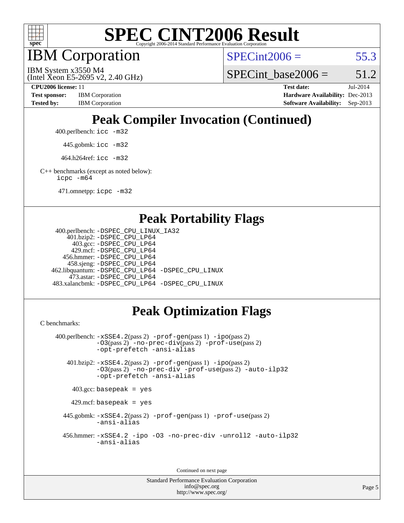

IBM Corporation

 $SPECint2006 = 55.3$  $SPECint2006 = 55.3$ 

(Intel Xeon E5-2695 v2, 2.40 GHz) IBM System x3550 M4

SPECint base2006 =  $51.2$ 

**[CPU2006 license:](http://www.spec.org/auto/cpu2006/Docs/result-fields.html#CPU2006license)** 11 **[Test date:](http://www.spec.org/auto/cpu2006/Docs/result-fields.html#Testdate)** Jul-2014 **[Test sponsor:](http://www.spec.org/auto/cpu2006/Docs/result-fields.html#Testsponsor)** IBM Corporation **[Hardware Availability:](http://www.spec.org/auto/cpu2006/Docs/result-fields.html#HardwareAvailability)** Dec-2013 **[Tested by:](http://www.spec.org/auto/cpu2006/Docs/result-fields.html#Testedby)** IBM Corporation **[Software Availability:](http://www.spec.org/auto/cpu2006/Docs/result-fields.html#SoftwareAvailability)** Sep-2013

# **[Peak Compiler Invocation \(Continued\)](http://www.spec.org/auto/cpu2006/Docs/result-fields.html#PeakCompilerInvocation)**

400.perlbench: [icc -m32](http://www.spec.org/cpu2006/results/res2014q3/cpu2006-20140731-30718.flags.html#user_peakCCLD400_perlbench_intel_icc_a6a621f8d50482236b970c6ac5f55f93)

445.gobmk: [icc -m32](http://www.spec.org/cpu2006/results/res2014q3/cpu2006-20140731-30718.flags.html#user_peakCCLD445_gobmk_intel_icc_a6a621f8d50482236b970c6ac5f55f93)

464.h264ref: [icc -m32](http://www.spec.org/cpu2006/results/res2014q3/cpu2006-20140731-30718.flags.html#user_peakCCLD464_h264ref_intel_icc_a6a621f8d50482236b970c6ac5f55f93)

[C++ benchmarks \(except as noted below\):](http://www.spec.org/auto/cpu2006/Docs/result-fields.html#CXXbenchmarksexceptasnotedbelow) [icpc -m64](http://www.spec.org/cpu2006/results/res2014q3/cpu2006-20140731-30718.flags.html#user_CXXpeak_intel_icpc_64bit_fc66a5337ce925472a5c54ad6a0de310)

471.omnetpp: [icpc -m32](http://www.spec.org/cpu2006/results/res2014q3/cpu2006-20140731-30718.flags.html#user_peakCXXLD471_omnetpp_intel_icpc_4e5a5ef1a53fd332b3c49e69c3330699)

#### **[Peak Portability Flags](http://www.spec.org/auto/cpu2006/Docs/result-fields.html#PeakPortabilityFlags)**

```
 400.perlbench: -DSPEC_CPU_LINUX_IA32
    401.bzip2: -DSPEC_CPU_LP64
      403.gcc: -DSPEC_CPU_LP64
     429.mcf: -DSPEC_CPU_LP64
   456.hmmer: -DSPEC_CPU_LP64
    458.sjeng: -DSPEC_CPU_LP64
462.libquantum: -DSPEC_CPU_LP64 -DSPEC_CPU_LINUX
     473.astar: -DSPEC_CPU_LP64
483.xalancbmk: -DSPEC_CPU_LP64 -DSPEC_CPU_LINUX
```
### **[Peak Optimization Flags](http://www.spec.org/auto/cpu2006/Docs/result-fields.html#PeakOptimizationFlags)**

[C benchmarks](http://www.spec.org/auto/cpu2006/Docs/result-fields.html#Cbenchmarks):

```
 400.perlbench: -xSSE4.2(pass 2) -prof-gen(pass 1) -ipo(pass 2)
           -O3(pass 2) -no-prec-div(pass 2) -prof-use(pass 2)
           -opt-prefetch -ansi-alias
   401.bzip2: -xSSE4.2(pass 2) -prof-gen(pass 1) -ipo(pass 2)
           -O3(pass 2) -no-prec-div -prof-use(pass 2) -auto-ilp32
           -opt-prefetch -ansi-alias
    403.\text{gcc: basepeak} = yes
   429.mcf: basepeak = yes
  445.gobmk: -xSSE4.2(pass 2) -prof-gen(pass 1) -prof-use(pass 2)
           -ansi-alias
  456.hmmer: -xSSE4.2 -ipo -O3 -no-prec-div -unroll2 -auto-ilp32
           -ansi-alias
```
Continued on next page